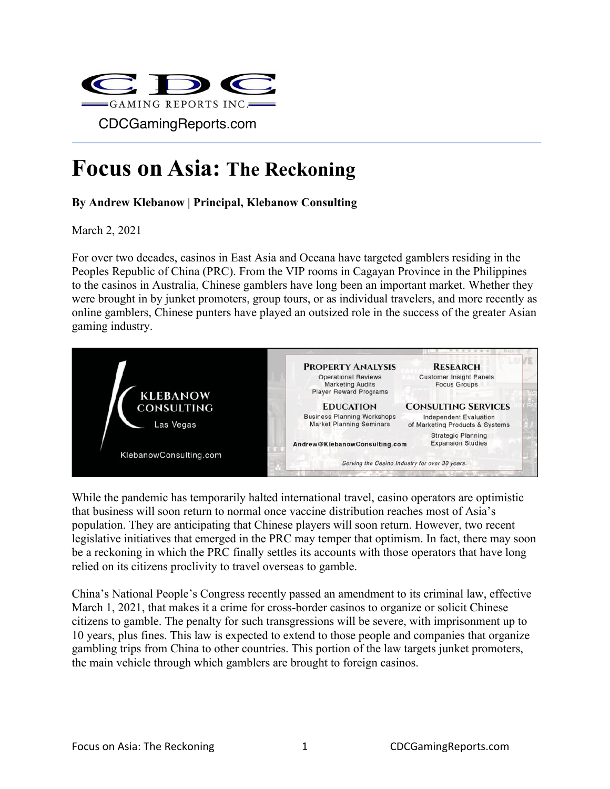

## **Focus on Asia: The Reckoning**

## **By Andrew Klebanow | Principal, Klebanow Consulting**

March 2, 2021

For over two decades, casinos in East Asia and Oceana have targeted gamblers residing in the Peoples Republic of China (PRC). From the VIP rooms in Cagayan Province in the Philippines to the casinos in Australia, Chinese gamblers have long been an important market. Whether they were brought in by junket promoters, group tours, or as individual travelers, and more recently as online gamblers, Chinese punters have played an outsized role in the success of the greater Asian gaming industry.



While the pandemic has temporarily halted international travel, casino operators are optimistic that business will soon return to normal once vaccine distribution reaches most of Asia's population. They are anticipating that Chinese players will soon return. However, two recent legislative initiatives that emerged in the PRC may temper that optimism. In fact, there may soon be a reckoning in which the PRC finally settles its accounts with those operators that have long relied on its citizens proclivity to travel overseas to gamble.

China's National People's Congress recently passed an amendment to its criminal law, effective March 1, 2021, that makes it a crime for cross-border casinos to organize or solicit Chinese citizens to gamble. The penalty for such transgressions will be severe, with imprisonment up to 10 years, plus fines. This law is expected to extend to those people and companies that organize gambling trips from China to other countries. This portion of the law targets junket promoters, the main vehicle through which gamblers are brought to foreign casinos.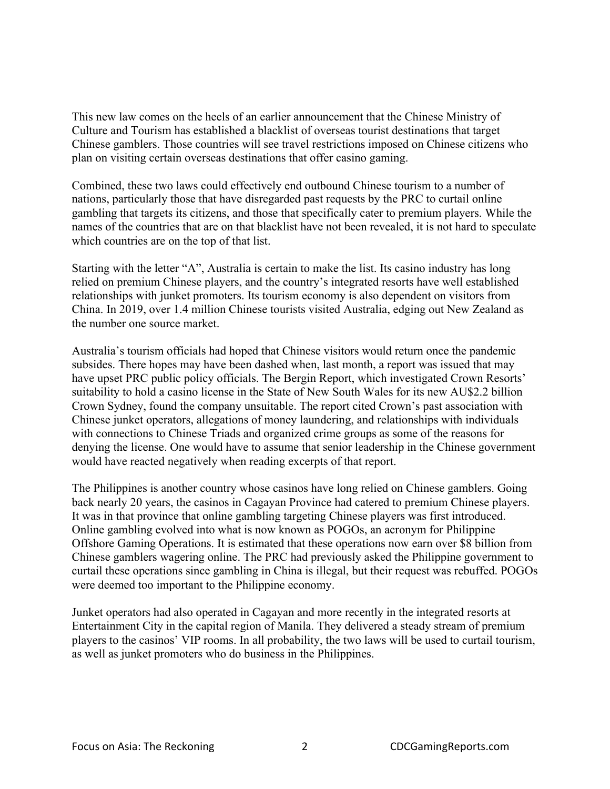This new law comes on the heels of an earlier announcement that the Chinese Ministry of Culture and Tourism has established a blacklist of overseas tourist destinations that target Chinese gamblers. Those countries will see travel restrictions imposed on Chinese citizens who plan on visiting certain overseas destinations that offer casino gaming.

Combined, these two laws could effectively end outbound Chinese tourism to a number of nations, particularly those that have disregarded past requests by the PRC to curtail online gambling that targets its citizens, and those that specifically cater to premium players. While the names of the countries that are on that blacklist have not been revealed, it is not hard to speculate which countries are on the top of that list.

Starting with the letter "A", Australia is certain to make the list. Its casino industry has long relied on premium Chinese players, and the country's integrated resorts have well established relationships with junket promoters. Its tourism economy is also dependent on visitors from China. In 2019, over 1.4 million Chinese tourists visited Australia, edging out New Zealand as the number one source market.

Australia's tourism officials had hoped that Chinese visitors would return once the pandemic subsides. There hopes may have been dashed when, last month, a report was issued that may have upset PRC public policy officials. The Bergin Report, which investigated Crown Resorts' suitability to hold a casino license in the State of New South Wales for its new AU\$2.2 billion Crown Sydney, found the company unsuitable. The report cited Crown's past association with Chinese junket operators, allegations of money laundering, and relationships with individuals with connections to Chinese Triads and organized crime groups as some of the reasons for denying the license. One would have to assume that senior leadership in the Chinese government would have reacted negatively when reading excerpts of that report.

The Philippines is another country whose casinos have long relied on Chinese gamblers. Going back nearly 20 years, the casinos in Cagayan Province had catered to premium Chinese players. It was in that province that online gambling targeting Chinese players was first introduced. Online gambling evolved into what is now known as POGOs, an acronym for Philippine Offshore Gaming Operations. It is estimated that these operations now earn over \$8 billion from Chinese gamblers wagering online. The PRC had previously asked the Philippine government to curtail these operations since gambling in China is illegal, but their request was rebuffed. POGOs were deemed too important to the Philippine economy.

Junket operators had also operated in Cagayan and more recently in the integrated resorts at Entertainment City in the capital region of Manila. They delivered a steady stream of premium players to the casinos' VIP rooms. In all probability, the two laws will be used to curtail tourism, as well as junket promoters who do business in the Philippines.